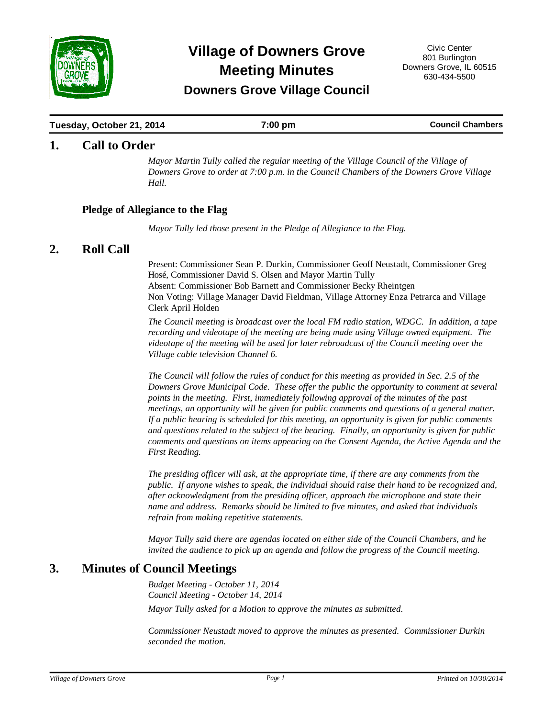

# **Meeting Minutes Village of Downers Grove** Civic Center

## **Downers Grove Village Council**

#### **Tuesday, October 21, 2014 19.12 <b>7:00 pm Council Chambers Council Chambers**

### **1.** Call to Order

*Mayor Martin Tully called the regular meeting of the Village Council of the Village of Downers Grove to order at 7:00 p.m. in the Council Chambers of the Downers Grove Village Hall.*

#### **Pledge of Allegiance to the Flag**

*Mayor Tully led those present in the Pledge of Allegiance to the Flag.*

### 2. Roll Call

Present: Commissioner Sean P. Durkin, Commissioner Geoff Neustadt, Commissioner Greg Hosé, Commissioner David S. Olsen and Mayor Martin Tully Absent: Commissioner Bob Barnett and Commissioner Becky Rheintgen Non Voting: Village Manager David Fieldman, Village Attorney Enza Petrarca and Village Clerk April Holden

*The Council meeting is broadcast over the local FM radio station, WDGC. In addition, a tape recording and videotape of the meeting are being made using Village owned equipment. The videotape of the meeting will be used for later rebroadcast of the Council meeting over the Village cable television Channel 6.*

*The Council will follow the rules of conduct for this meeting as provided in Sec. 2.5 of the Downers Grove Municipal Code. These offer the public the opportunity to comment at several points in the meeting. First, immediately following approval of the minutes of the past meetings, an opportunity will be given for public comments and questions of a general matter. If a public hearing is scheduled for this meeting, an opportunity is given for public comments and questions related to the subject of the hearing. Finally, an opportunity is given for public comments and questions on items appearing on the Consent Agenda, the Active Agenda and the First Reading.* 

*The presiding officer will ask, at the appropriate time, if there are any comments from the public. If anyone wishes to speak, the individual should raise their hand to be recognized and, after acknowledgment from the presiding officer, approach the microphone and state their name and address. Remarks should be limited to five minutes, and asked that individuals refrain from making repetitive statements.* 

*Mayor Tully said there are agendas located on either side of the Council Chambers, and he invited the audience to pick up an agenda and follow the progress of the Council meeting.*

### **3. Minutes of Council Meetings**

*Budget Meeting - October 11, 2014 Council Meeting - October 14, 2014 Mayor Tully asked for a Motion to approve the minutes as submitted.* 

*Commissioner Neustadt moved to approve the minutes as presented. Commissioner Durkin seconded the motion.*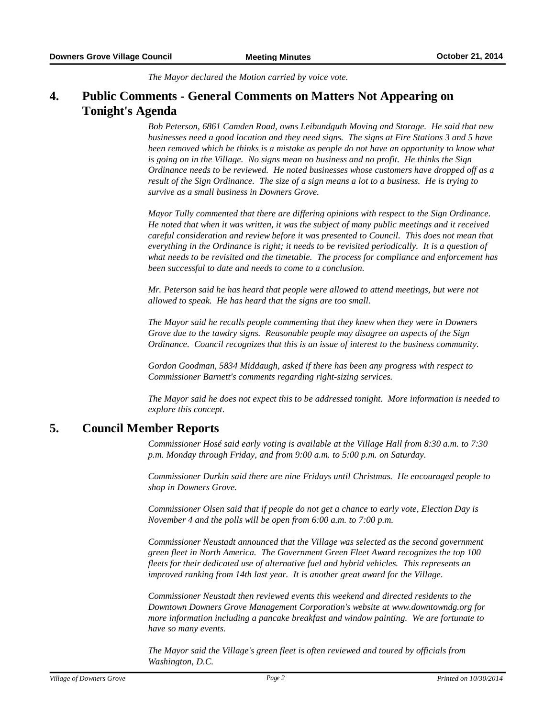*The Mayor declared the Motion carried by voice vote.*

#### **Public Comments - General Comments on Matters Not Appearing on Tonight's Agenda 4.**

*Bob Peterson, 6861 Camden Road, owns Leibundguth Moving and Storage. He said that new businesses need a good location and they need signs. The signs at Fire Stations 3 and 5 have been removed which he thinks is a mistake as people do not have an opportunity to know what is going on in the Village. No signs mean no business and no profit. He thinks the Sign Ordinance needs to be reviewed. He noted businesses whose customers have dropped off as a result of the Sign Ordinance. The size of a sign means a lot to a business. He is trying to survive as a small business in Downers Grove.*

*Mayor Tully commented that there are differing opinions with respect to the Sign Ordinance. He noted that when it was written, it was the subject of many public meetings and it received careful consideration and review before it was presented to Council. This does not mean that everything in the Ordinance is right; it needs to be revisited periodically. It is a question of what needs to be revisited and the timetable. The process for compliance and enforcement has been successful to date and needs to come to a conclusion.*

*Mr. Peterson said he has heard that people were allowed to attend meetings, but were not allowed to speak. He has heard that the signs are too small.*

*The Mayor said he recalls people commenting that they knew when they were in Downers Grove due to the tawdry signs. Reasonable people may disagree on aspects of the Sign Ordinance. Council recognizes that this is an issue of interest to the business community.*

*Gordon Goodman, 5834 Middaugh, asked if there has been any progress with respect to Commissioner Barnett's comments regarding right-sizing services.*

*The Mayor said he does not expect this to be addressed tonight. More information is needed to explore this concept.*

### **5. Council Member Reports**

*Commissioner Hosé said early voting is available at the Village Hall from 8:30 a.m. to 7:30 p.m. Monday through Friday, and from 9:00 a.m. to 5:00 p.m. on Saturday.*

*Commissioner Durkin said there are nine Fridays until Christmas. He encouraged people to shop in Downers Grove.*

*Commissioner Olsen said that if people do not get a chance to early vote, Election Day is November 4 and the polls will be open from 6:00 a.m. to 7:00 p.m.*

*Commissioner Neustadt announced that the Village was selected as the second government green fleet in North America. The Government Green Fleet Award recognizes the top 100 fleets for their dedicated use of alternative fuel and hybrid vehicles. This represents an improved ranking from 14th last year. It is another great award for the Village.*

*Commissioner Neustadt then reviewed events this weekend and directed residents to the Downtown Downers Grove Management Corporation's website at www.downtowndg.org for more information including a pancake breakfast and window painting. We are fortunate to have so many events.*

*The Mayor said the Village's green fleet is often reviewed and toured by officials from Washington, D.C.*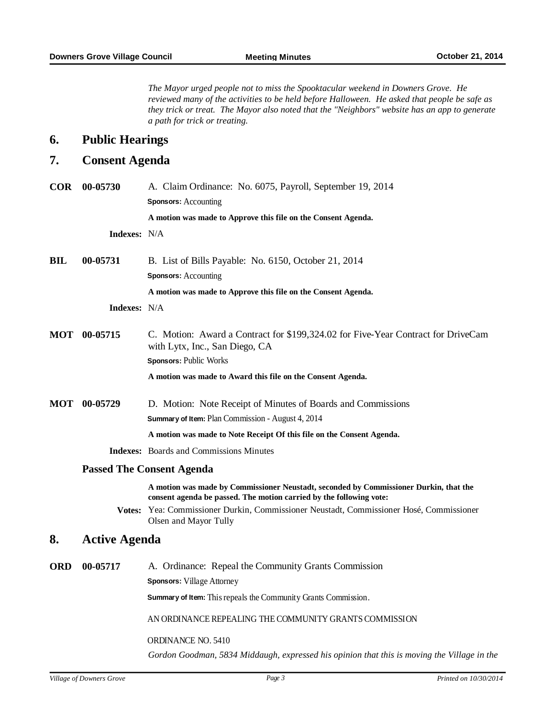*The Mayor urged people not to miss the Spooktacular weekend in Downers Grove. He reviewed many of the activities to be held before Halloween. He asked that people be safe as they trick or treat. The Mayor also noted that the "Neighbors" website has an app to generate a path for trick or treating.*

### **6.** Public Hearings

### 7. Consent Agenda

| <b>COR</b> | 00-05730            | A. Claim Ordinance: No. 6075, Payroll, September 19, 2014<br><b>Sponsors: Accounting</b>                                                                     |
|------------|---------------------|--------------------------------------------------------------------------------------------------------------------------------------------------------------|
|            |                     | A motion was made to Approve this file on the Consent Agenda.                                                                                                |
|            | <b>Indexes:</b> N/A |                                                                                                                                                              |
| <b>BIL</b> | 00-05731            | B. List of Bills Payable: No. 6150, October 21, 2014                                                                                                         |
|            |                     | <b>Sponsors: Accounting</b>                                                                                                                                  |
|            |                     | A motion was made to Approve this file on the Consent Agenda.                                                                                                |
|            | <b>Indexes:</b> N/A |                                                                                                                                                              |
|            | MOT 00-05715        | C. Motion: Award a Contract for \$199,324.02 for Five-Year Contract for DriveCam<br>with Lytx, Inc., San Diego, CA                                           |
|            |                     | Sponsors: Public Works                                                                                                                                       |
|            |                     | A motion was made to Award this file on the Consent Agenda.                                                                                                  |
| MOT        | 00-05729            | D. Motion: Note Receipt of Minutes of Boards and Commissions                                                                                                 |
|            |                     | Summary of Item: Plan Commission - August 4, 2014                                                                                                            |
|            |                     | A motion was made to Note Receipt Of this file on the Consent Agenda.                                                                                        |
|            |                     | <b>Indexes:</b> Boards and Commissions Minutes                                                                                                               |
|            |                     | <b>Passed The Consent Agenda</b>                                                                                                                             |
|            |                     | A motion was made by Commissioner Neustadt, seconded by Commissioner Durkin, that the<br>consent agenda be passed. The motion carried by the following vote: |
|            |                     | Votes: Yea: Commissioner Durkin, Commissioner Neustadt, Commissioner Hosé, Commissioner<br>Olsen and Mayor Tully                                             |
|            |                     |                                                                                                                                                              |

### 8. Active Agenda

| <b>ORD</b> | 00-05717 | A. Ordinance: Repeal the Community Grants Commission                                        |
|------------|----------|---------------------------------------------------------------------------------------------|
|            |          | <b>Sponsors:</b> Village Attorney                                                           |
|            |          | <b>Summary of Item:</b> This repeals the Community Grants Commission.                       |
|            |          | AN ORDINANCE REPEALING THE COMMUNITY GRANTS COMMISSION                                      |
|            |          | ORDINANCE NO. 5410                                                                          |
|            |          | Gordon Goodman, 5834 Middaugh, expressed his opinion that this is moving the Village in the |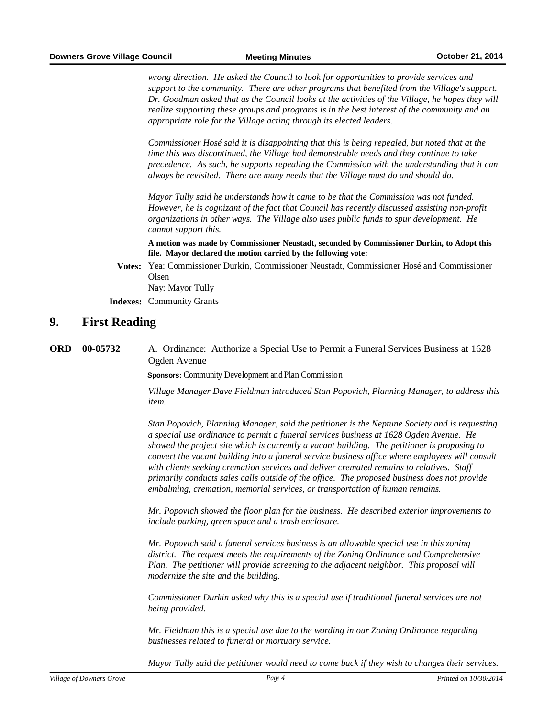*wrong direction. He asked the Council to look for opportunities to provide services and support to the community. There are other programs that benefited from the Village's support. Dr. Goodman asked that as the Council looks at the activities of the Village, he hopes they will realize supporting these groups and programs is in the best interest of the community and an appropriate role for the Village acting through its elected leaders.* 

*Commissioner Hosé said it is disappointing that this is being repealed, but noted that at the time this was discontinued, the Village had demonstrable needs and they continue to take precedence. As such, he supports repealing the Commission with the understanding that it can always be revisited. There are many needs that the Village must do and should do.*

*Mayor Tully said he understands how it came to be that the Commission was not funded. However, he is cognizant of the fact that Council has recently discussed assisting non-profit organizations in other ways. The Village also uses public funds to spur development. He cannot support this.* 

**A motion was made by Commissioner Neustadt, seconded by Commissioner Durkin, to Adopt this file. Mayor declared the motion carried by the following vote:**

**Votes:** Yea: Commissioner Durkin, Commissioner Neustadt, Commissioner Hosé and Commissioner Olsen Nay: Mayor Tully

**Indexes:** Community Grants

#### **9.** First Reading

**00-05732** A. Ordinance: Authorize a Special Use to Permit a Funeral Services Business at 1628 Ogden Avenue **ORD**

**Sponsors:** Community Development and Plan Commission

*Village Manager Dave Fieldman introduced Stan Popovich, Planning Manager, to address this item.*

*Stan Popovich, Planning Manager, said the petitioner is the Neptune Society and is requesting a special use ordinance to permit a funeral services business at 1628 Ogden Avenue. He showed the project site which is currently a vacant building. The petitioner is proposing to convert the vacant building into a funeral service business office where employees will consult with clients seeking cremation services and deliver cremated remains to relatives. Staff primarily conducts sales calls outside of the office. The proposed business does not provide embalming, cremation, memorial services, or transportation of human remains.*

*Mr. Popovich showed the floor plan for the business. He described exterior improvements to include parking, green space and a trash enclosure.*

*Mr. Popovich said a funeral services business is an allowable special use in this zoning district. The request meets the requirements of the Zoning Ordinance and Comprehensive Plan. The petitioner will provide screening to the adjacent neighbor. This proposal will modernize the site and the building.*

*Commissioner Durkin asked why this is a special use if traditional funeral services are not being provided.*

*Mr. Fieldman this is a special use due to the wording in our Zoning Ordinance regarding businesses related to funeral or mortuary service.*

*Mayor Tully said the petitioner would need to come back if they wish to changes their services.*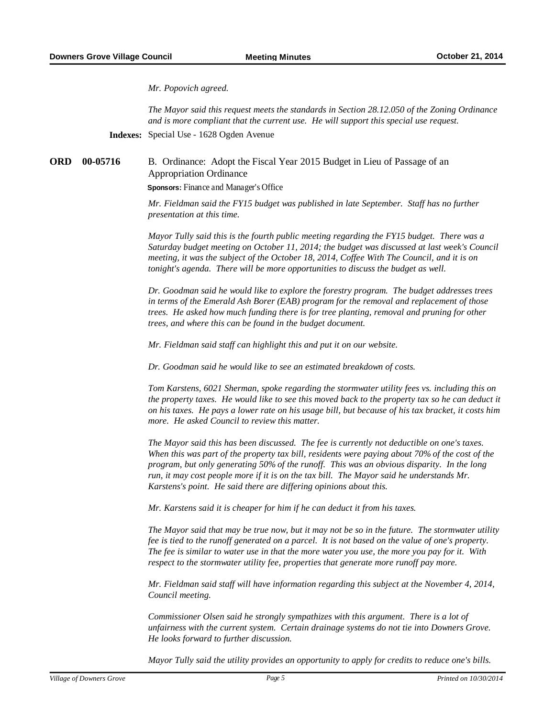*Mr. Popovich agreed.*

*The Mayor said this request meets the standards in Section 28.12.050 of the Zoning Ordinance and is more compliant that the current use. He will support this special use request.* 

**Indexes:** Special Use - 1628 Ogden Avenue

**B.** Ordinance: Adopt the Fiscal Year 2015 Budget in Lieu of Passage of an Appropriation Ordinance **ORD**

**Sponsors:** Finance and Manager's Office

*Mr. Fieldman said the FY15 budget was published in late September. Staff has no further presentation at this time.*

*Mayor Tully said this is the fourth public meeting regarding the FY15 budget. There was a Saturday budget meeting on October 11, 2014; the budget was discussed at last week's Council meeting, it was the subject of the October 18, 2014, Coffee With The Council, and it is on tonight's agenda. There will be more opportunities to discuss the budget as well.*

*Dr. Goodman said he would like to explore the forestry program. The budget addresses trees in terms of the Emerald Ash Borer (EAB) program for the removal and replacement of those trees. He asked how much funding there is for tree planting, removal and pruning for other trees, and where this can be found in the budget document.*

*Mr. Fieldman said staff can highlight this and put it on our website.*

*Dr. Goodman said he would like to see an estimated breakdown of costs.*

*Tom Karstens, 6021 Sherman, spoke regarding the stormwater utility fees vs. including this on the property taxes. He would like to see this moved back to the property tax so he can deduct it on his taxes. He pays a lower rate on his usage bill, but because of his tax bracket, it costs him more. He asked Council to review this matter.*

*The Mayor said this has been discussed. The fee is currently not deductible on one's taxes. When this was part of the property tax bill, residents were paying about 70% of the cost of the program, but only generating 50% of the runoff. This was an obvious disparity. In the long run, it may cost people more if it is on the tax bill. The Mayor said he understands Mr. Karstens's point. He said there are differing opinions about this.*

*Mr. Karstens said it is cheaper for him if he can deduct it from his taxes.* 

*The Mayor said that may be true now, but it may not be so in the future. The stormwater utility fee is tied to the runoff generated on a parcel. It is not based on the value of one's property. The fee is similar to water use in that the more water you use, the more you pay for it. With respect to the stormwater utility fee, properties that generate more runoff pay more.*

*Mr. Fieldman said staff will have information regarding this subject at the November 4, 2014, Council meeting.*

*Commissioner Olsen said he strongly sympathizes with this argument. There is a lot of unfairness with the current system. Certain drainage systems do not tie into Downers Grove. He looks forward to further discussion.*

*Mayor Tully said the utility provides an opportunity to apply for credits to reduce one's bills.*